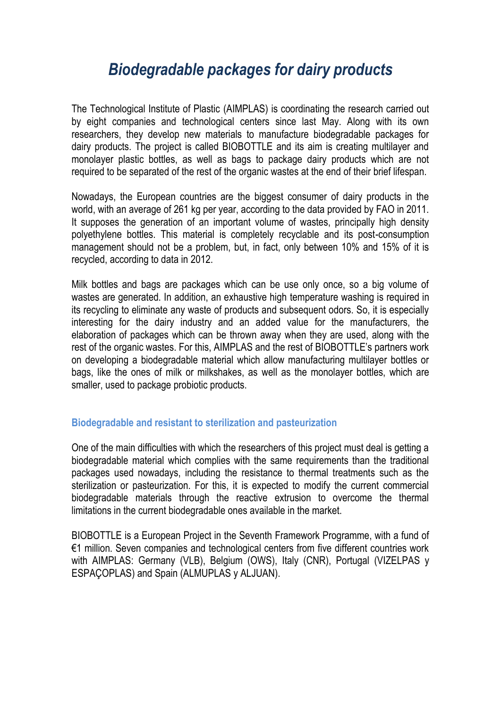## *Biodegradable packages for dairy products*

The Technological Institute of Plastic (AIMPLAS) is coordinating the research carried out by eight companies and technological centers since last May. Along with its own researchers, they develop new materials to manufacture biodegradable packages for dairy products. The project is called BIOBOTTLE and its aim is creating multilayer and monolayer plastic bottles, as well as bags to package dairy products which are not required to be separated of the rest of the organic wastes at the end of their brief lifespan.

Nowadays, the European countries are the biggest consumer of dairy products in the world, with an average of 261 kg per year, according to the data provided by FAO in 2011. It supposes the generation of an important volume of wastes, principally high density polyethylene bottles. This material is completely recyclable and its post-consumption management should not be a problem, but, in fact, only between 10% and 15% of it is recycled, according to data in 2012.

Milk bottles and bags are packages which can be use only once, so a big volume of wastes are generated. In addition, an exhaustive high temperature washing is required in its recycling to eliminate any waste of products and subsequent odors. So, it is especially interesting for the dairy industry and an added value for the manufacturers, the elaboration of packages which can be thrown away when they are used, along with the rest of the organic wastes. For this, AIMPLAS and the rest of BIOBOTTLE's partners work on developing a biodegradable material which allow manufacturing multilayer bottles or bags, like the ones of milk or milkshakes, as well as the monolayer bottles, which are smaller, used to package probiotic products.

## **Biodegradable and resistant to sterilization and pasteurization**

One of the main difficulties with which the researchers of this project must deal is getting a biodegradable material which complies with the same requirements than the traditional packages used nowadays, including the resistance to thermal treatments such as the sterilization or pasteurization. For this, it is expected to modify the current commercial biodegradable materials through the reactive extrusion to overcome the thermal limitations in the current biodegradable ones available in the market.

BIOBOTTLE is a European Project in the Seventh Framework Programme, with a fund of €1 million. Seven companies and technological centers from five different countries work with AIMPLAS: Germany (VLB), Belgium (OWS), Italy (CNR), Portugal (VIZELPAS y ESPAÇOPLAS) and Spain (ALMUPLAS y ALJUAN).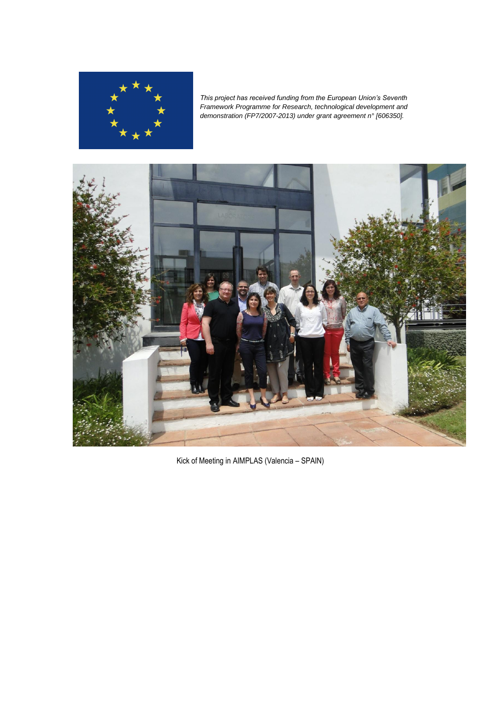

*This project has received funding from the European Union's Seventh Framework Programme for Research, technological development and demonstration (FP7/2007-2013) under grant agreement n° [606350].*



Kick of Meeting in AIMPLAS (Valencia – SPAIN)